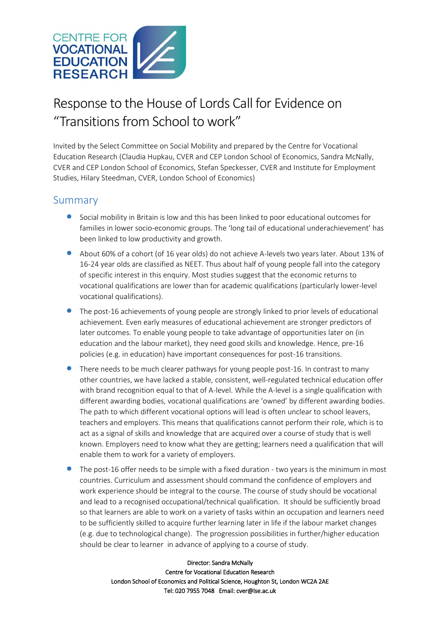

# Response to the House of Lords Call for Evidence on "Transitions from School to work"

Invited by the Select Committee on Social Mobility and prepared by the Centre for Vocational Education Research (Claudia Hupkau, CVER and CEP London School of Economics, Sandra McNally, CVER and CEP London School of Economics, Stefan Speckesser, CVER and Institute for Employment Studies, Hilary Steedman, CVER, London School of Economics)

### Summary

- Social mobility in Britain is low and this has been linked to poor educational outcomes for families in lower socio-economic groups. The 'long tail of educational underachievement' has been linked to low productivity and growth.
- About 60% of a cohort (of 16 year olds) do not achieve A-levels two years later. About 13% of 16-24 year olds are classified as NEET. Thus about half of young people fall into the category of specific interest in this enquiry. Most studies suggest that the economic returns to vocational qualifications are lower than for academic qualifications (particularly lower-level vocational qualifications).
- The post-16 achievements of young people are strongly linked to prior levels of educational achievement. Even early measures of educational achievement are stronger predictors of later outcomes. To enable young people to take advantage of opportunities later on (in education and the labour market), they need good skills and knowledge. Hence, pre-16 policies (e.g. in education) have important consequences for post-16 transitions.
- **•** There needs to be much clearer pathways for young people post-16. In contrast to many other countries, we have lacked a stable, consistent, well-regulated technical education offer with brand recognition equal to that of A-level. While the A-level is a single qualification with different awarding bodies, vocational qualifications are 'owned' by different awarding bodies. The path to which different vocational options will lead is often unclear to school leavers, teachers and employers. This means that qualifications cannot perform their role, which is to act as a signal of skills and knowledge that are acquired over a course of study that is well known. Employers need to know what they are getting; learners need a qualification that will enable them to work for a variety of employers.
- The post-16 offer needs to be simple with a fixed duration two years is the minimum in most countries. Curriculum and assessment should command the confidence of employers and work experience should be integral to the course. The course of study should be vocational and lead to a recognised occupational/technical qualification. It should be sufficiently broad so that learners are able to work on a variety of tasks within an occupation and learners need to be sufficiently skilled to acquire further learning later in life if the labour market changes (e.g. due to technological change). The progression possibilities in further/higher education should be clear to learner in advance of applying to a course of study.

Director: Sandra McNally Centre for Vocational Education Research London School of Economics and Political Science, Houghton St, London WC2A 2AE Tel: 020 7955 7048 Email: cver@lse.ac.uk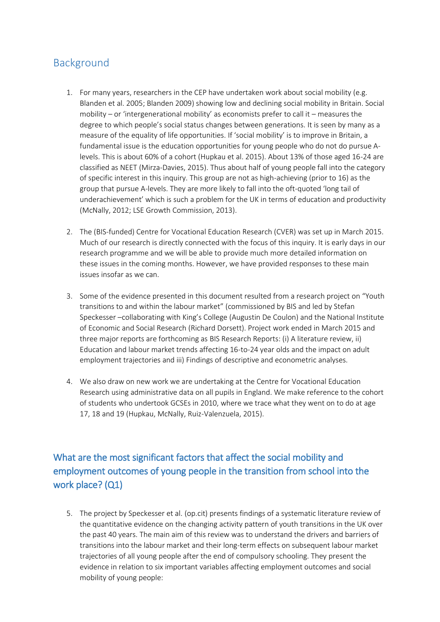# Background

- 1. For many years, researchers in the CEP have undertaken work about social mobility (e.g. Blanden et al. 2005; Blanden 2009) showing low and declining social mobility in Britain. Social mobility – or 'intergenerational mobility' as economists prefer to call it – measures the degree to which people's social status changes between generations. It is seen by many as a measure of the equality of life opportunities. If 'social mobility' is to improve in Britain, a fundamental issue is the education opportunities for young people who do not do pursue Alevels. This is about 60% of a cohort (Hupkau et al. 2015). About 13% of those aged 16-24 are classified as NEET (Mirza-Davies, 2015). Thus about half of young people fall into the category of specific interest in this inquiry. This group are not as high-achieving (prior to 16) as the group that pursue A-levels. They are more likely to fall into the oft-quoted 'long tail of underachievement' which is such a problem for the UK in terms of education and productivity (McNally, 2012; LSE Growth Commission, 2013).
- 2. The (BIS-funded) Centre for Vocational Education Research (CVER) was set up in March 2015. Much of our research is directly connected with the focus of this inquiry. It is early days in our research programme and we will be able to provide much more detailed information on these issues in the coming months. However, we have provided responses to these main issues insofar as we can.
- 3. Some of the evidence presented in this document resulted from a research project on "Youth transitions to and within the labour market" (commissioned by BIS and led by Stefan Speckesser –collaborating with King's College (Augustin De Coulon) and the National Institute of Economic and Social Research (Richard Dorsett). Project work ended in March 2015 and three major reports are forthcoming as BIS Research Reports: (i) A literature review, ii) Education and labour market trends affecting 16-to-24 year olds and the impact on adult employment trajectories and iii) Findings of descriptive and econometric analyses.
- 4. We also draw on new work we are undertaking at the Centre for Vocational Education Research using administrative data on all pupils in England. We make reference to the cohort of students who undertook GCSEs in 2010, where we trace what they went on to do at age 17, 18 and 19 (Hupkau, McNally, Ruiz-Valenzuela, 2015).

# What are the most significant factors that affect the social mobility and employment outcomes of young people in the transition from school into the work place? (Q1)

5. The project by Speckesser et al. (op.cit) presents findings of a systematic literature review of the quantitative evidence on the changing activity pattern of youth transitions in the UK over the past 40 years. The main aim of this review was to understand the drivers and barriers of transitions into the labour market and their long-term effects on subsequent labour market trajectories of all young people after the end of compulsory schooling. They present the evidence in relation to six important variables affecting employment outcomes and social mobility of young people: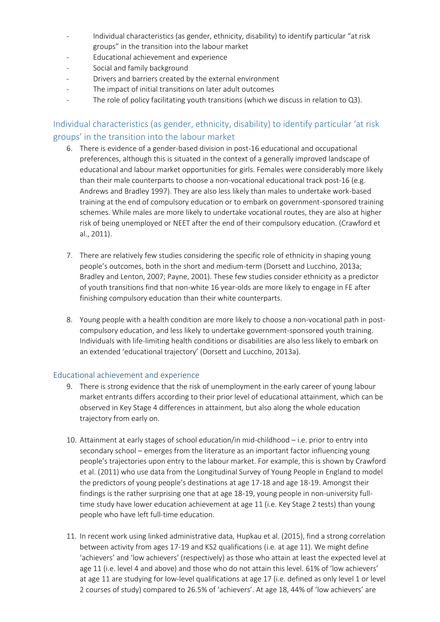- Individual characteristics (as gender, ethnicity, disability) to identify particular "at risk groups" in the transition into the labour market
- Educational achievement and experience
- Social and family background
- Drivers and barriers created by the external environment
- The impact of initial transitions on later adult outcomes
- The role of policy facilitating youth transitions (which we discuss in relation to Q3).

### Individual characteristics (as gender, ethnicity, disability) to identify particular 'at risk groups' in the transition into the labour market

- 6. There is evidence of a gender-based division in post-16 educational and occupational preferences, although this is situated in the context of a generally improved landscape of educational and labour market opportunities for girls. Females were considerably more likely than their male counterparts to choose a non-vocational educational track post-16 (e.g. Andrews and Bradley 1997). They are also less likely than males to undertake work-based training at the end of compulsory education or to embark on government-sponsored training schemes. While males are more likely to undertake vocational routes, they are also at higher risk of being unemployed or NEET after the end of their compulsory education. (Crawford et al., 2011).
- 7. There are relatively few studies considering the specific role of ethnicity in shaping young people's outcomes, both in the short and medium-term (Dorsett and Lucchino, 2013a; Bradley and Lenton, 2007; Payne, 2001). These few studies consider ethnicity as a predictor of youth transitions find that non-white 16 year-olds are more likely to engage in FE after finishing compulsory education than their white counterparts.
- 8. Young people with a health condition are more likely to choose a non-vocational path in postcompulsory education, and less likely to undertake government-sponsored youth training. Individuals with life-limiting health conditions or disabilities are also less likely to embark on an extended 'educational trajectory' (Dorsett and Lucchino, 2013a).

#### Educational achievement and experience

- 9. There is strong evidence that the risk of unemployment in the early career of young labour market entrants differs according to their prior level of educational attainment, which can be observed in Key Stage 4 differences in attainment, but also along the whole education trajectory from early on.
- 10. Attainment at early stages of school education/in mid-childhood i.e. prior to entry into secondary school – emerges from the literature as an important factor influencing young people's trajectories upon entry to the labour market. For example, this is shown by Crawford et al. (2011) who use data from the Longitudinal Survey of Young People in England to model the predictors of young people's destinations at age 17-18 and age 18-19. Amongst their findings is the rather surprising one that at age 18-19, young people in non-university fulltime study have lower education achievement at age 11 (i.e. Key Stage 2 tests) than young people who have left full-time education.
- 11. In recent work using linked administrative data, Hupkau et al. (2015), find a strong correlation between activity from ages 17-19 and KS2 qualifications (i.e. at age 11). We might define 'achievers' and 'low achievers' (respectively) as those who attain at least the expected level at age 11 (i.e. level 4 and above) and those who do not attain this level. 61% of 'low achievers' at age 11 are studying for low-level qualifications at age 17 (i.e. defined as only level 1 or level 2 courses of study) compared to 26.5% of 'achievers'. At age 18, 44% of 'low achievers' are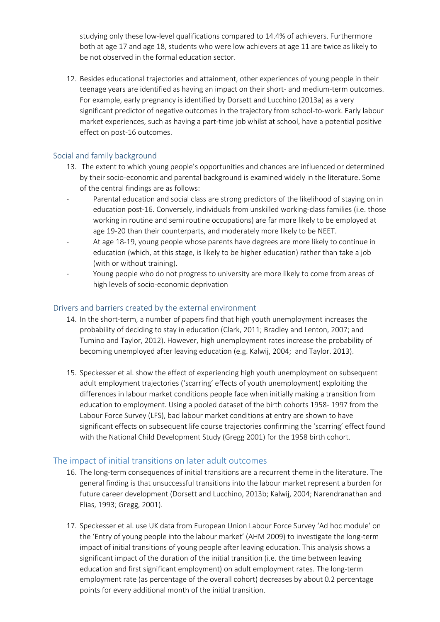studying only these low-level qualifications compared to 14.4% of achievers. Furthermore both at age 17 and age 18, students who were low achievers at age 11 are twice as likely to be not observed in the formal education sector.

12. Besides educational trajectories and attainment, other experiences of young people in their teenage years are identified as having an impact on their short- and medium-term outcomes. For example, early pregnancy is identified by Dorsett and Lucchino (2013a) as a very significant predictor of negative outcomes in the trajectory from school-to-work. Early labour market experiences, such as having a part-time job whilst at school, have a potential positive effect on post-16 outcomes.

#### Social and family background

- 13. The extent to which young people's opportunities and chances are influenced or determined by their socio-economic and parental background is examined widely in the literature. Some of the central findings are as follows:
- Parental education and social class are strong predictors of the likelihood of staying on in education post-16. Conversely, individuals from unskilled working-class families (i.e. those working in routine and semi routine occupations) are far more likely to be employed at age 19-20 than their counterparts, and moderately more likely to be NEET.
- At age 18-19, young people whose parents have degrees are more likely to continue in education (which, at this stage, is likely to be higher education) rather than take a job (with or without training).
- Young people who do not progress to university are more likely to come from areas of high levels of socio-economic deprivation

### Drivers and barriers created by the external environment

- 14. In the short-term, a number of papers find that high youth unemployment increases the probability of deciding to stay in education (Clark, 2011; Bradley and Lenton, 2007; and Tumino and Taylor, 2012). However, high unemployment rates increase the probability of becoming unemployed after leaving education (e.g. Kalwij, 2004; and Taylor. 2013).
- 15. Speckesser et al. show the effect of experiencing high youth unemployment on subsequent adult employment trajectories ('scarring' effects of youth unemployment) exploiting the differences in labour market conditions people face when initially making a transition from education to employment. Using a pooled dataset of the birth cohorts 1958- 1997 from the Labour Force Survey (LFS), bad labour market conditions at entry are shown to have significant effects on subsequent life course trajectories confirming the 'scarring' effect found with the National Child Development Study (Gregg 2001) for the 1958 birth cohort.

### The impact of initial transitions on later adult outcomes

- 16. The long-term consequences of initial transitions are a recurrent theme in the literature. The general finding is that unsuccessful transitions into the labour market represent a burden for future career development (Dorsett and Lucchino, 2013b; Kalwij, 2004; Narendranathan and Elias, 1993; Gregg, 2001).
- 17. Speckesser et al. use UK data from European Union Labour Force Survey 'Ad hoc module' on the 'Entry of young people into the labour market' (AHM 2009) to investigate the long-term impact of initial transitions of young people after leaving education. This analysis shows a significant impact of the duration of the initial transition (i.e. the time between leaving education and first significant employment) on adult employment rates. The long-term employment rate (as percentage of the overall cohort) decreases by about 0.2 percentage points for every additional month of the initial transition.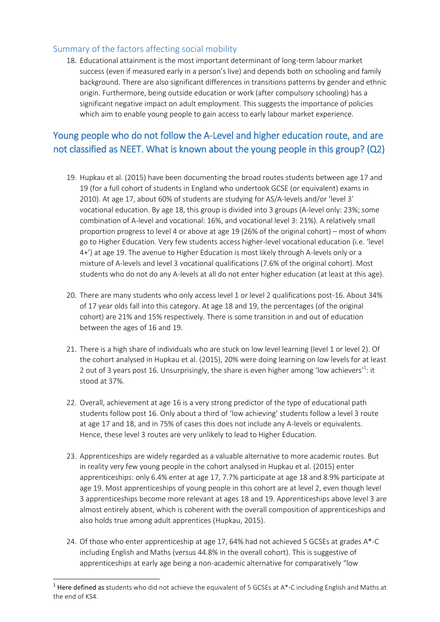### Summary of the factors affecting social mobility

18. Educational attainment is the most important determinant of long-term labour market success (even if measured early in a person's live) and depends both on schooling and family background. There are also significant differences in transitions patterns by gender and ethnic origin. Furthermore, being outside education or work (after compulsory schooling) has a significant negative impact on adult employment. This suggests the importance of policies which aim to enable young people to gain access to early labour market experience.

### Young people who do not follow the A-Level and higher education route, and are not classified as NEET. What is known about the young people in this group? (Q2)

- 19. Hupkau et al. (2015) have been documenting the broad routes students between age 17 and 19 (for a full cohort of students in England who undertook GCSE (or equivalent) exams in 2010). At age 17, about 60% of students are studying for AS/A-levels and/or 'level 3' vocational education. By age 18, this group is divided into 3 groups (A-level only: 23%; some combination of A-level and vocational: 16%, and vocational level 3: 21%). A relatively small proportion progress to level 4 or above at age 19 (26% of the original cohort) – most of whom go to Higher Education. Very few students access higher-level vocational education (i.e. 'level 4+') at age 19. The avenue to Higher Education is most likely through A-levels only or a mixture of A-levels and level 3 vocational qualifications (7.6% of the original cohort). Most students who do not do any A-levels at all do not enter higher education (at least at this age).
- 20. There are many students who only access level 1 or level 2 qualifications post-16. About 34% of 17 year olds fall into this category. At age 18 and 19, the percentages (of the original cohort) are 21% and 15% respectively. There is some transition in and out of education between the ages of 16 and 19.
- 21. There is a high share of individuals who are stuck on low level learning (level 1 or level 2). Of the cohort analysed in Hupkau et al. (2015), 20% were doing learning on low levels for at least 2 out of 3 years post 16. Unsurprisingly, the share is even higher among 'low achievers'<sup>1</sup>: it stood at 37%.
- 22. Overall, achievement at age 16 is a very strong predictor of the type of educational path students follow post 16. Only about a third of 'low achieving' students follow a level 3 route at age 17 and 18, and in 75% of cases this does not include any A-levels or equivalents. Hence, these level 3 routes are very unlikely to lead to Higher Education.
- 23. Apprenticeships are widely regarded as a valuable alternative to more academic routes. But in reality very few young people in the cohort analysed in Hupkau et al. (2015) enter apprenticeships: only 6.4% enter at age 17, 7.7% participate at age 18 and 8.9% participate at age 19. Most apprenticeships of young people in this cohort are at level 2, even though level 3 apprenticeships become more relevant at ages 18 and 19. Apprenticeships above level 3 are almost entirely absent, which is coherent with the overall composition of apprenticeships and also holds true among adult apprentices (Hupkau, 2015).
- 24. Of those who enter apprenticeship at age 17, 64% had not achieved 5 GCSEs at grades A\*-C including English and Maths (versus 44.8% in the overall cohort). This is suggestive of apprenticeships at early age being a non-academic alternative for comparatively "low

**.** 

<sup>&</sup>lt;sup>1</sup> Here defined as students who did not achieve the equivalent of 5 GCSEs at A\*-C including English and Maths at the end of KS4.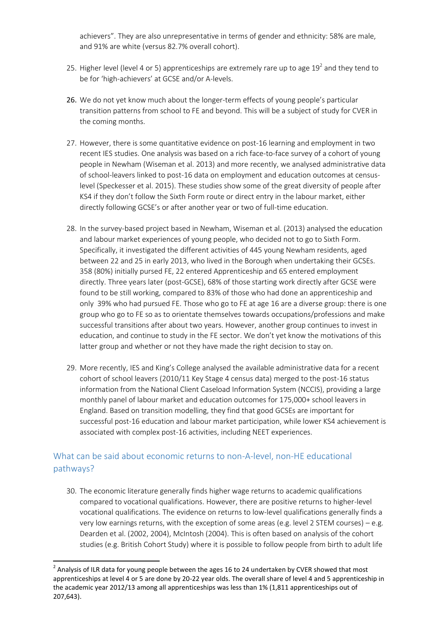achievers". They are also unrepresentative in terms of gender and ethnicity: 58% are male, and 91% are white (versus 82.7% overall cohort).

- 25. Higher level (level 4 or 5) apprenticeships are extremely rare up to age  $19^2$  and they tend to be for 'high-achievers' at GCSE and/or A-levels.
- 26. We do not yet know much about the longer-term effects of young people's particular transition patterns from school to FE and beyond. This will be a subject of study for CVER in the coming months.
- 27. However, there is some quantitative evidence on post-16 learning and employment in two recent IES studies. One analysis was based on a rich face-to-face survey of a cohort of young people in Newham (Wiseman et al. 2013) and more recently, we analysed administrative data of school-leavers linked to post-16 data on employment and education outcomes at censuslevel (Speckesser et al. 2015). These studies show some of the great diversity of people after KS4 if they don't follow the Sixth Form route or direct entry in the labour market, either directly following GCSE's or after another year or two of full-time education.
- 28. In the survey-based project based in Newham, Wiseman et al. (2013) analysed the education and labour market experiences of young people, who decided not to go to Sixth Form. Specifically, it investigated the different activities of 445 young Newham residents, aged between 22 and 25 in early 2013, who lived in the Borough when undertaking their GCSEs. 358 (80%) initially pursed FE, 22 entered Apprenticeship and 65 entered employment directly. Three years later (post-GCSE), 68% of those starting work directly after GCSE were found to be still working, compared to 83% of those who had done an apprenticeship and only 39% who had pursued FE. Those who go to FE at age 16 are a diverse group: there is one group who go to FE so as to orientate themselves towards occupations/professions and make successful transitions after about two years. However, another group continues to invest in education, and continue to study in the FE sector. We don't yet know the motivations of this latter group and whether or not they have made the right decision to stay on.
- 29. More recently, IES and King's College analysed the available administrative data for a recent cohort of school leavers (2010/11 Key Stage 4 census data) merged to the post-16 status information from the National Client Caseload Information System (NCCIS), providing a large monthly panel of labour market and education outcomes for 175,000+ school leavers in England. Based on transition modelling, they find that good GCSEs are important for successful post-16 education and labour market participation, while lower KS4 achievement is associated with complex post-16 activities, including NEET experiences.

### What can be said about economic returns to non-A-level, non-HE educational pathways?

30. The economic literature generally finds higher wage returns to academic qualifications compared to vocational qualifications. However, there are positive returns to higher-level vocational qualifications. The evidence on returns to low-level qualifications generally finds a very low earnings returns, with the exception of some areas (e.g. level 2 STEM courses) – e.g. Dearden et al. (2002, 2004), McIntosh (2004). This is often based on analysis of the cohort studies (e.g. British Cohort Study) where it is possible to follow people from birth to adult life

**.** 

<sup>&</sup>lt;sup>2</sup> Analysis of ILR data for young people between the ages 16 to 24 undertaken by CVER showed that most apprenticeships at level 4 or 5 are done by 20-22 year olds. The overall share of level 4 and 5 apprenticeship in the academic year 2012/13 among all apprenticeships was less than 1% (1,811 apprenticeships out of 207,643).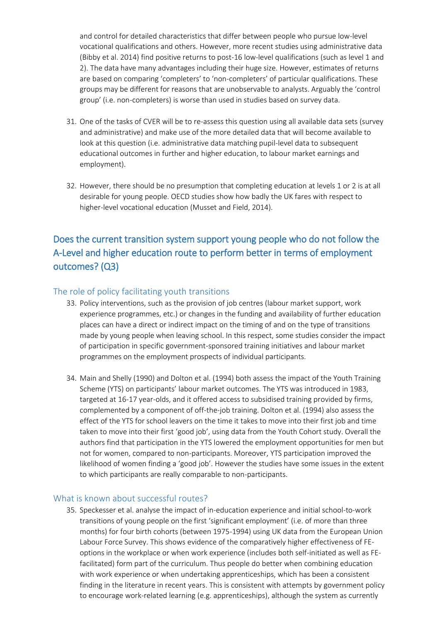and control for detailed characteristics that differ between people who pursue low-level vocational qualifications and others. However, more recent studies using administrative data (Bibby et al. 2014) find positive returns to post-16 low-level qualifications (such as level 1 and 2). The data have many advantages including their huge size. However, estimates of returns are based on comparing 'completers' to 'non-completers' of particular qualifications. These groups may be different for reasons that are unobservable to analysts. Arguably the 'control group' (i.e. non-completers) is worse than used in studies based on survey data.

- 31. One of the tasks of CVER will be to re-assess this question using all available data sets (survey and administrative) and make use of the more detailed data that will become available to look at this question (i.e. administrative data matching pupil-level data to subsequent educational outcomes in further and higher education, to labour market earnings and employment).
- 32. However, there should be no presumption that completing education at levels 1 or 2 is at all desirable for young people. OECD studies show how badly the UK fares with respect to higher-level vocational education (Musset and Field, 2014).

## Does the current transition system support young people who do not follow the A-Level and higher education route to perform better in terms of employment outcomes? (Q3)

### The role of policy facilitating youth transitions

- 33. Policy interventions, such as the provision of job centres (labour market support, work experience programmes, etc.) or changes in the funding and availability of further education places can have a direct or indirect impact on the timing of and on the type of transitions made by young people when leaving school. In this respect, some studies consider the impact of participation in specific government-sponsored training initiatives and labour market programmes on the employment prospects of individual participants.
- 34. Main and Shelly (1990) and Dolton et al. (1994) both assess the impact of the Youth Training Scheme (YTS) on participants' labour market outcomes. The YTS was introduced in 1983, targeted at 16-17 year-olds, and it offered access to subsidised training provided by firms, complemented by a component of off-the-job training. Dolton et al. (1994) also assess the effect of the YTS for school leavers on the time it takes to move into their first job and time taken to move into their first 'good job', using data from the Youth Cohort study. Overall the authors find that participation in the YTS lowered the employment opportunities for men but not for women, compared to non-participants. Moreover, YTS participation improved the likelihood of women finding a 'good job'. However the studies have some issues in the extent to which participants are really comparable to non-participants.

#### What is known about successful routes?

35. Speckesser et al. analyse the impact of in-education experience and initial school-to-work transitions of young people on the first 'significant employment' (i.e. of more than three months) for four birth cohorts (between 1975-1994) using UK data from the European Union Labour Force Survey. This shows evidence of the comparatively higher effectiveness of FEoptions in the workplace or when work experience (includes both self-initiated as well as FEfacilitated) form part of the curriculum. Thus people do better when combining education with work experience or when undertaking apprenticeships, which has been a consistent finding in the literature in recent years. This is consistent with attempts by government policy to encourage work-related learning (e.g. apprenticeships), although the system as currently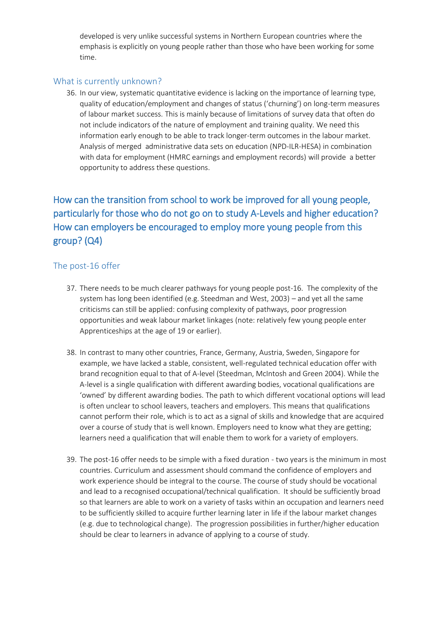developed is very unlike successful systems in Northern European countries where the emphasis is explicitly on young people rather than those who have been working for some time.

#### What is currently unknown?

36. In our view, systematic quantitative evidence is lacking on the importance of learning type, quality of education/employment and changes of status ('churning') on long-term measures of labour market success. This is mainly because of limitations of survey data that often do not include indicators of the nature of employment and training quality. We need this information early enough to be able to track longer-term outcomes in the labour market. Analysis of merged administrative data sets on education (NPD-ILR-HESA) in combination with data for employment (HMRC earnings and employment records) will provide a better opportunity to address these questions.

# How can the transition from school to work be improved for all young people, particularly for those who do not go on to study A-Levels and higher education? How can employers be encouraged to employ more young people from this group? (Q4)

### The post-16 offer

- 37. There needs to be much clearer pathways for young people post-16. The complexity of the system has long been identified (e.g. Steedman and West, 2003) – and yet all the same criticisms can still be applied: confusing complexity of pathways, poor progression opportunities and weak labour market linkages (note: relatively few young people enter Apprenticeships at the age of 19 or earlier).
- 38. In contrast to many other countries, France, Germany, Austria, Sweden, Singapore for example, we have lacked a stable, consistent, well-regulated technical education offer with brand recognition equal to that of A-level (Steedman, McIntosh and Green 2004). While the A-level is a single qualification with different awarding bodies, vocational qualifications are 'owned' by different awarding bodies. The path to which different vocational options will lead is often unclear to school leavers, teachers and employers. This means that qualifications cannot perform their role, which is to act as a signal of skills and knowledge that are acquired over a course of study that is well known. Employers need to know what they are getting; learners need a qualification that will enable them to work for a variety of employers.
- 39. The post-16 offer needs to be simple with a fixed duration two years is the minimum in most countries. Curriculum and assessment should command the confidence of employers and work experience should be integral to the course. The course of study should be vocational and lead to a recognised occupational/technical qualification. It should be sufficiently broad so that learners are able to work on a variety of tasks within an occupation and learners need to be sufficiently skilled to acquire further learning later in life if the labour market changes (e.g. due to technological change). The progression possibilities in further/higher education should be clear to learners in advance of applying to a course of study.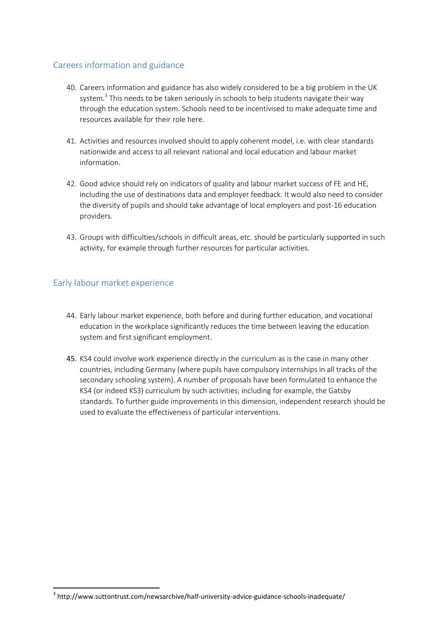### Careers information and guidance

- 40. Careers information and guidance has also widely considered to be a big problem in the UK system.<sup>3</sup> This needs to be taken seriously in schools to help students navigate their way through the education system. Schools need to be incentivised to make adequate time and resources available for their role here.
- 41. Activities and resources involved should to apply coherent model, i.e. with clear standards nationwide and access to all relevant national and local education and labour market information.
- 42. Good advice should rely on indicators of quality and labour market success of FE and HE, including the use of destinations data and employer feedback. It would also need to consider the diversity of pupils and should take advantage of local employers and post-16 education providers.
- 43. Groups with difficulties/schools in difficult areas, etc. should be particularly supported in such activity, for example through further resources for particular activities.

### Early labour market experience

1

- 44. Early labour market experience, both before and during further education, and vocational education in the workplace significantly reduces the time between leaving the education system and first significant employment.
- 45. KS4 could involve work experience directly in the curriculum as is the case in many other countries, including Germany (where pupils have compulsory internships in all tracks of the secondary schooling system). A number of proposals have been formulated to enhance the KS4 (or indeed KS3) curriculum by such activities, including for example, the Gatsby standards. To further guide improvements in this dimension, independent research should be used to evaluate the effectiveness of particular interventions.

<sup>&</sup>lt;sup>3</sup> http://www.suttontrust.com/newsarchive/half-university-advice-guidance-schools-inadequate/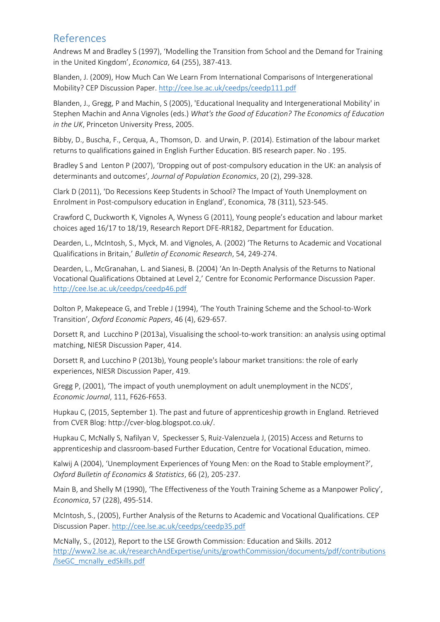### References

Andrews M and Bradley S (1997), 'Modelling the Transition from School and the Demand for Training in the United Kingdom', *Economica*, 64 (255), 387-413.

Blanden, J. (2009), How Much Can We Learn From International Comparisons of Intergenerational Mobility? CEP Discussion Paper.<http://cee.lse.ac.uk/ceedps/ceedp111.pdf>

Blanden, J., Gregg, P and Machin, S (2005), 'Educational Inequality and Intergenerational Mobility' in Stephen Machin and Anna Vignoles (eds.) *What's the Good of Education? The Economics of Education in the UK*, Princeton University Press, 2005.

Bibby, D., Buscha, F., Cerqua, A., Thomson, D. and Urwin, P. (2014). Estimation of the labour market returns to qualifications gained in English Further Education. BIS research paper. No . 195.

Bradley S and Lenton P (2007), 'Dropping out of post-compulsory education in the UK: an analysis of determinants and outcomes'*, Journal of Population Economics*, 20 (2), 299-328.

Clark D (2011), 'Do Recessions Keep Students in School? The Impact of Youth Unemployment on Enrolment in Post-compulsory education in England', Economica, 78 (311), 523-545.

Crawford C, Duckworth K, Vignoles A, Wyness G (2011), Young people's education and labour market choices aged 16/17 to 18/19, Research Report DFE-RR182, Department for Education.

Dearden, L., McIntosh, S., Myck, M. and Vignoles, A. (2002) 'The Returns to Academic and Vocational Qualifications in Britain,' *Bulletin of Economic Research*, 54, 249-274.

Dearden, L., McGranahan, L. and Sianesi, B. (2004) 'An In-Depth Analysis of the Returns to National Vocational Qualifications Obtained at Level 2,' Centre for Economic Performance Discussion Paper. <http://cee.lse.ac.uk/ceedps/ceedp46.pdf>

Dolton P, Makepeace G, and Treble J (1994), 'The Youth Training Scheme and the School-to-Work Transition', *Oxford Economic Papers*, 46 (4), 629-657.

Dorsett R, and Lucchino P (2013a), Visualising the school-to-work transition: an analysis using optimal matching, NIESR Discussion Paper, 414.

Dorsett R, and Lucchino P (2013b), Young people's labour market transitions: the role of early experiences, NIESR Discussion Paper, 419.

Gregg P, (2001), 'The impact of youth unemployment on adult unemployment in the NCDS', *Economic Journal*, 111, F626-F653.

Hupkau C, (2015, September 1). The past and future of apprenticeship growth in England. Retrieved from CVER Blog: http://cver-blog.blogspot.co.uk/.

Hupkau C, McNally S, Nafilyan V, Speckesser S, Ruiz-Valenzuela J, (2015) Access and Returns to apprenticeship and classroom-based Further Education, Centre for Vocational Education, mimeo.

Kalwij A (2004), 'Unemployment Experiences of Young Men: on the Road to Stable employment?', *Oxford Bulletin of Economics & Statistics*, 66 (2), 205-237.

Main B, and Shelly M (1990), 'The Effectiveness of the Youth Training Scheme as a Manpower Policy', *Economica*, 57 (228), 495-514.

McIntosh, S., (2005), Further Analysis of the Returns to Academic and Vocational Qualifications. CEP Discussion Paper[. http://cee.lse.ac.uk/ceedps/ceedp35.pdf](http://cee.lse.ac.uk/ceedps/ceedp35.pdf)

McNally, S., (2012), Report to the LSE Growth Commission: Education and Skills. 2012 [http://www2.lse.ac.uk/researchAndExpertise/units/growthCommission/documents/pdf/contributions](http://www2.lse.ac.uk/researchAndExpertise/units/growthCommission/documents/pdf/contributions/lseGC_mcnally_edSkills.pdf) [/lseGC\\_mcnally\\_edSkills.pdf](http://www2.lse.ac.uk/researchAndExpertise/units/growthCommission/documents/pdf/contributions/lseGC_mcnally_edSkills.pdf)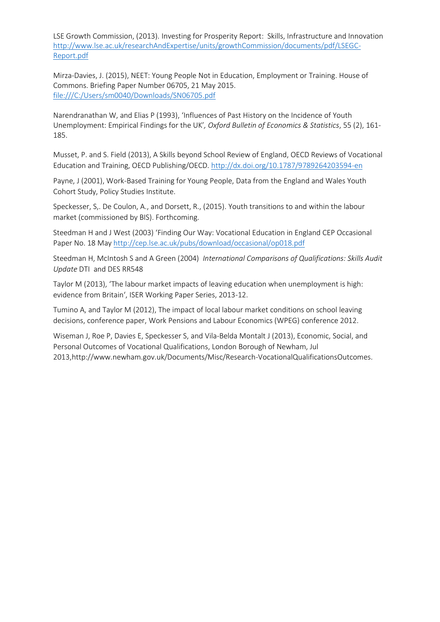LSE Growth Commission, (2013). Investing for Prosperity Report: Skills, Infrastructure and Innovation [http://www.lse.ac.uk/researchAndExpertise/units/growthCommission/documents/pdf/LSEGC-](http://www.lse.ac.uk/researchAndExpertise/units/growthCommission/documents/pdf/LSEGC-Report.pdf)[Report.pdf](http://www.lse.ac.uk/researchAndExpertise/units/growthCommission/documents/pdf/LSEGC-Report.pdf)

Mirza-Davies, J. (2015), NEET: Young People Not in Education, Employment or Training. House of Commons. Briefing Paper Number 06705, 21 May 2015. <file:///C:/Users/sm0040/Downloads/SN06705.pdf>

Narendranathan W, and Elias P (1993), 'Influences of Past History on the Incidence of Youth Unemployment: Empirical Findings for the UK'*, Oxford Bulletin of Economics & Statistics*, 55 (2), 161- 185.

Musset, P. and S. Field (2013), A Skills beyond School Review of England, OECD Reviews of Vocational Education and Training, OECD Publishing/OECD[. http://dx.doi.org/10.1787/9789264203594-en](http://dx.doi.org/10.1787/9789264203594-en)

Payne, J (2001), Work-Based Training for Young People, Data from the England and Wales Youth Cohort Study, Policy Studies Institute.

Speckesser, S,. De Coulon, A., and Dorsett, R., (2015). Youth transitions to and within the labour market (commissioned by BIS). Forthcoming.

Steedman H and J West (2003) 'Finding Our Way: Vocational Education in England CEP Occasional Paper No. 18 Ma[y http://cep.lse.ac.uk/pubs/download/occasional/op018.pdf](http://cep.lse.ac.uk/pubs/download/occasional/op018.pdf)

Steedman H, McIntosh S and A Green (2004) *International Comparisons of Qualifications: Skills Audit Update* DTI and DES RR548

Taylor M (2013), 'The labour market impacts of leaving education when unemployment is high: evidence from Britain', ISER Working Paper Series, 2013-12.

Tumino A, and Taylor M (2012), The impact of local labour market conditions on school leaving decisions, conference paper, Work Pensions and Labour Economics (WPEG) conference 2012.

Wiseman J, Roe P, Davies E, Speckesser S, and Vila-Belda Montalt J (2013), Economic, Social, and Personal Outcomes of Vocational Qualifications, London Borough of Newham, Jul 2013,http://www.newham.gov.uk/Documents/Misc/Research-VocationalQualificationsOutcomes.